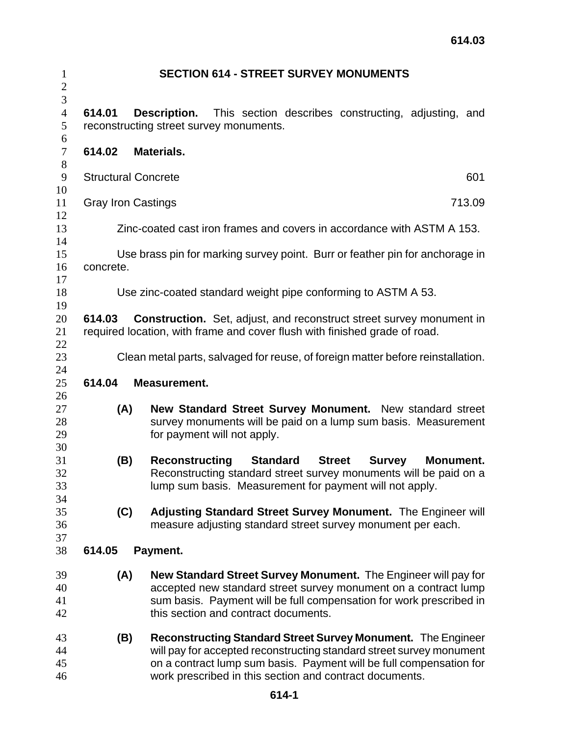| $\mathbf{1}$<br>$\mathbf{2}$ |                                                                                       | <b>SECTION 614 - STREET SURVEY MONUMENTS</b>                                                                                |  |  |
|------------------------------|---------------------------------------------------------------------------------------|-----------------------------------------------------------------------------------------------------------------------------|--|--|
| $\mathfrak{Z}$               |                                                                                       |                                                                                                                             |  |  |
| $\overline{4}$               | 614.01                                                                                | This section describes constructing, adjusting, and<br>Description.                                                         |  |  |
| 5                            | reconstructing street survey monuments.                                               |                                                                                                                             |  |  |
| 6<br>$\boldsymbol{7}$        | 614.02                                                                                | Materials.                                                                                                                  |  |  |
| $8\,$                        |                                                                                       |                                                                                                                             |  |  |
| 9                            | <b>Structural Concrete</b><br>601                                                     |                                                                                                                             |  |  |
| 10                           |                                                                                       |                                                                                                                             |  |  |
| 11                           | 713.09<br><b>Gray Iron Castings</b>                                                   |                                                                                                                             |  |  |
| 12<br>13                     |                                                                                       | Zinc-coated cast iron frames and covers in accordance with ASTM A 153.                                                      |  |  |
| 14                           |                                                                                       |                                                                                                                             |  |  |
| 15                           | Use brass pin for marking survey point. Burr or feather pin for anchorage in          |                                                                                                                             |  |  |
| 16                           | concrete.                                                                             |                                                                                                                             |  |  |
| 17                           |                                                                                       |                                                                                                                             |  |  |
| 18                           | Use zinc-coated standard weight pipe conforming to ASTM A 53.                         |                                                                                                                             |  |  |
| 19                           |                                                                                       |                                                                                                                             |  |  |
| 20                           | 614.03<br><b>Construction.</b> Set, adjust, and reconstruct street survey monument in |                                                                                                                             |  |  |
| 21                           |                                                                                       | required location, with frame and cover flush with finished grade of road.                                                  |  |  |
| 22<br>23                     |                                                                                       | Clean metal parts, salvaged for reuse, of foreign matter before reinstallation.                                             |  |  |
| 24                           |                                                                                       |                                                                                                                             |  |  |
| 25                           | 614.04                                                                                | <b>Measurement.</b>                                                                                                         |  |  |
| 26                           |                                                                                       |                                                                                                                             |  |  |
| 27                           | (A)                                                                                   | New Standard Street Survey Monument. New standard street                                                                    |  |  |
| 28                           |                                                                                       | survey monuments will be paid on a lump sum basis. Measurement                                                              |  |  |
| 29                           |                                                                                       | for payment will not apply.                                                                                                 |  |  |
| 30                           |                                                                                       |                                                                                                                             |  |  |
| 31                           | (B)                                                                                   | <b>Standard</b><br><b>Street</b><br><b>Reconstructing</b><br><b>Survey</b><br>Monument.                                     |  |  |
| 32                           |                                                                                       | Reconstructing standard street survey monuments will be paid on a                                                           |  |  |
| 33                           |                                                                                       | lump sum basis. Measurement for payment will not apply.                                                                     |  |  |
| 34                           |                                                                                       |                                                                                                                             |  |  |
| 35<br>36                     | (C)                                                                                   | Adjusting Standard Street Survey Monument. The Engineer will<br>measure adjusting standard street survey monument per each. |  |  |
| 37                           |                                                                                       |                                                                                                                             |  |  |
| 38                           | 614.05                                                                                | Payment.                                                                                                                    |  |  |
|                              |                                                                                       |                                                                                                                             |  |  |
| 39                           | (A)                                                                                   | <b>New Standard Street Survey Monument.</b> The Engineer will pay for                                                       |  |  |
| 40                           |                                                                                       | accepted new standard street survey monument on a contract lump                                                             |  |  |
| 41                           |                                                                                       | sum basis. Payment will be full compensation for work prescribed in                                                         |  |  |
| 42                           |                                                                                       | this section and contract documents.                                                                                        |  |  |
| 43                           | (B)                                                                                   | <b>Reconstructing Standard Street Survey Monument. The Engineer</b>                                                         |  |  |
| 44                           |                                                                                       | will pay for accepted reconstructing standard street survey monument                                                        |  |  |
| 45                           |                                                                                       | on a contract lump sum basis. Payment will be full compensation for                                                         |  |  |
| 46                           |                                                                                       | work prescribed in this section and contract documents.                                                                     |  |  |